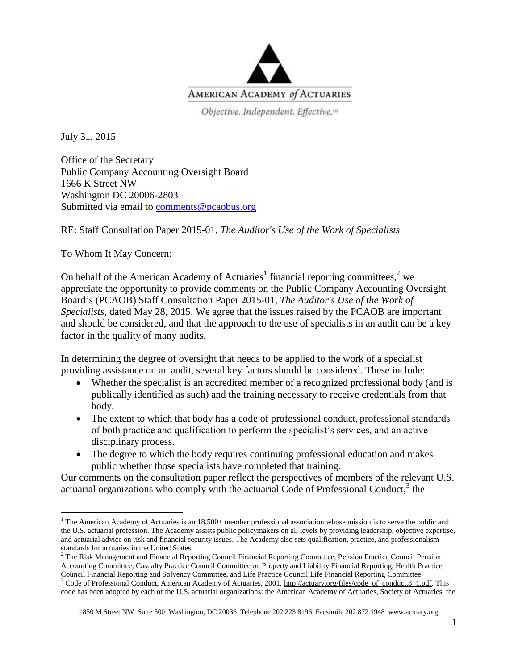

Objective. Independent. Effective.<sup>14</sup>

July 31, 2015

 $\overline{a}$ 

Office of the Secretary Public Company Accounting Oversight Board 1666 K Street NW Washington DC 20006-2803 Submitted via email to [comments@pcaobus.org](mailto:comments@pcaobus.org)

RE: Staff Consultation Paper 2015-01, *The Auditor's Use of the Work of Specialists*

To Whom It May Concern:

On behalf of the American Academy of Actuaries<sup>1</sup> financial reporting committees,<sup>2</sup> we appreciate the opportunity to provide comments on the Public Company Accounting Oversight Board's (PCAOB) Staff Consultation Paper 2015-01, *The Auditor's Use of the Work of Specialists*, dated May 28, 2015. We agree that the issues raised by the PCAOB are important and should be considered, and that the approach to the use of specialists in an audit can be a key factor in the quality of many audits.

In determining the degree of oversight that needs to be applied to the work of a specialist providing assistance on an audit, several key factors should be considered. These include:

- Whether the specialist is an accredited member of a recognized professional body (and is publically identified as such) and the training necessary to receive credentials from that body.
- The extent to which that body has a code of professional conduct, professional standards of both practice and qualification to perform the specialist's services, and an active disciplinary process.
- The degree to which the body requires continuing professional education and makes public whether those specialists have completed that training.

Our comments on the consultation paper reflect the perspectives of members of the relevant U.S. actuarial organizations who comply with the actuarial Code of Professional Conduct, $3$  the

 $1$  The American Academy of Actuaries is an 18,500+ member professional association whose mission is to serve the public and the U.S. actuarial profession. The Academy assists public policymakers on all levels by providing leadership, objective expertise, and actuarial advice on risk and financial security issues. The Academy also sets qualification, practice, and professionalism standards for actuaries in the United States.

<sup>&</sup>lt;sup>2</sup> The Risk Management and Financial Reporting Council Financial Reporting Committee, Pension Practice Council Pension Accounting Committee, Casualty Practice Council Committee on Property and Liability Financial Reporting, Health Practice Council Financial Reporting and Solvency Committee, and Life Practice Council Life Financial Reporting Committee.

<sup>&</sup>lt;sup>3</sup> Code of Professional Conduct, American Academy of Actuaries, 2001[, http://actuary.org/files/code\\_of\\_conduct.8\\_1.pdf.](http://actuary.org/files/code_of_conduct.8_1.pdf) This code has been adopted by each of the U.S. actuarial organizations: the American Academy of Actuaries, Society of Actuaries, the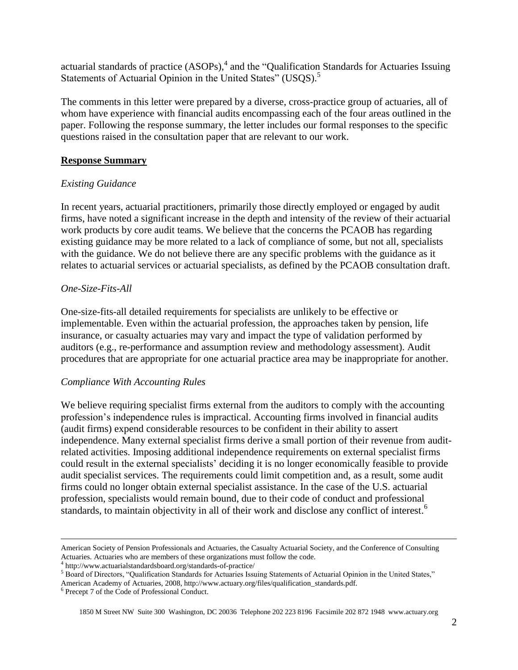actuarial standards of practice (ASOPs),<sup>4</sup> and the "Qualification Standards for Actuaries Issuing Statements of Actuarial Opinion in the United States" (USQS).<sup>5</sup>

The comments in this letter were prepared by a diverse, cross-practice group of actuaries, all of whom have experience with financial audits encompassing each of the four areas outlined in the paper. Following the response summary, the letter includes our formal responses to the specific questions raised in the consultation paper that are relevant to our work.

#### **Response Summary**

### *Existing Guidance*

In recent years, actuarial practitioners, primarily those directly employed or engaged by audit firms, have noted a significant increase in the depth and intensity of the review of their actuarial work products by core audit teams. We believe that the concerns the PCAOB has regarding existing guidance may be more related to a lack of compliance of some, but not all, specialists with the guidance. We do not believe there are any specific problems with the guidance as it relates to actuarial services or actuarial specialists, as defined by the PCAOB consultation draft.

### *One-Size-Fits-All*

One-size-fits-all detailed requirements for specialists are unlikely to be effective or implementable. Even within the actuarial profession, the approaches taken by pension, life insurance, or casualty actuaries may vary and impact the type of validation performed by auditors (e.g., re-performance and assumption review and methodology assessment). Audit procedures that are appropriate for one actuarial practice area may be inappropriate for another.

#### *Compliance With Accounting Rules*

We believe requiring specialist firms external from the auditors to comply with the accounting profession's independence rules is impractical. Accounting firms involved in financial audits (audit firms) expend considerable resources to be confident in their ability to assert independence. Many external specialist firms derive a small portion of their revenue from auditrelated activities. Imposing additional independence requirements on external specialist firms could result in the external specialists' deciding it is no longer economically feasible to provide audit specialist services. The requirements could limit competition and, as a result, some audit firms could no longer obtain external specialist assistance. In the case of the U.S. actuarial profession, specialists would remain bound, due to their code of conduct and professional standards, to maintain objectivity in all of their work and disclose any conflict of interest.<sup>6</sup>

 $\overline{a}$ 

American Society of Pension Professionals and Actuaries, the Casualty Actuarial Society, and the Conference of Consulting Actuaries. Actuaries who are members of these organizations must follow the code.<br><sup>4</sup> http://www.actuarialstandardsboard.org/standards-of-practice/

<sup>&</sup>lt;sup>5</sup> Board of Directors, "Qualification Standards for Actuaries Issuing Statements of Actuarial Opinion in the United States," American Academy of Actuaries, 2008, http://www.actuary.org/files/qualification\_standards.pdf.

<sup>6</sup> Precept 7 of the Code of Professional Conduct.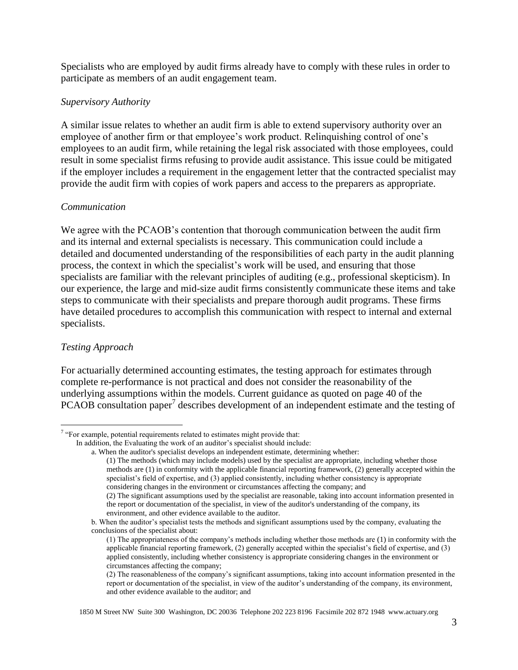Specialists who are employed by audit firms already have to comply with these rules in order to participate as members of an audit engagement team.

### *Supervisory Authority*

A similar issue relates to whether an audit firm is able to extend supervisory authority over an employee of another firm or that employee's work product. Relinquishing control of one's employees to an audit firm, while retaining the legal risk associated with those employees, could result in some specialist firms refusing to provide audit assistance. This issue could be mitigated if the employer includes a requirement in the engagement letter that the contracted specialist may provide the audit firm with copies of work papers and access to the preparers as appropriate.

### *Communication*

We agree with the PCAOB's contention that thorough communication between the audit firm and its internal and external specialists is necessary. This communication could include a detailed and documented understanding of the responsibilities of each party in the audit planning process, the context in which the specialist's work will be used, and ensuring that those specialists are familiar with the relevant principles of auditing (e.g., professional skepticism). In our experience, the large and mid-size audit firms consistently communicate these items and take steps to communicate with their specialists and prepare thorough audit programs. These firms have detailed procedures to accomplish this communication with respect to internal and external specialists.

## *Testing Approach*

For actuarially determined accounting estimates, the testing approach for estimates through complete re-performance is not practical and does not consider the reasonability of the underlying assumptions within the models. Current guidance as quoted on page 40 of the PCAOB consultation paper<sup>7</sup> describes development of an independent estimate and the testing of

<sup>&</sup>lt;sup>7</sup> "For example, potential requirements related to estimates might provide that:

In addition, the Evaluating the work of an auditor's specialist should include:

a. When the auditor's specialist develops an independent estimate, determining whether:

<sup>(1)</sup> The methods (which may include models) used by the specialist are appropriate, including whether those methods are (1) in conformity with the applicable financial reporting framework, (2) generally accepted within the specialist's field of expertise, and (3) applied consistently, including whether consistency is appropriate considering changes in the environment or circumstances affecting the company; and

<sup>(2)</sup> The significant assumptions used by the specialist are reasonable, taking into account information presented in the report or documentation of the specialist, in view of the auditor's understanding of the company, its environment, and other evidence available to the auditor.

b. When the auditor's specialist tests the methods and significant assumptions used by the company, evaluating the conclusions of the specialist about:

<sup>(1)</sup> The appropriateness of the company's methods including whether those methods are (1) in conformity with the applicable financial reporting framework, (2) generally accepted within the specialist's field of expertise, and (3) applied consistently, including whether consistency is appropriate considering changes in the environment or circumstances affecting the company;

<sup>(2)</sup> The reasonableness of the company's significant assumptions, taking into account information presented in the report or documentation of the specialist, in view of the auditor's understanding of the company, its environment, and other evidence available to the auditor; and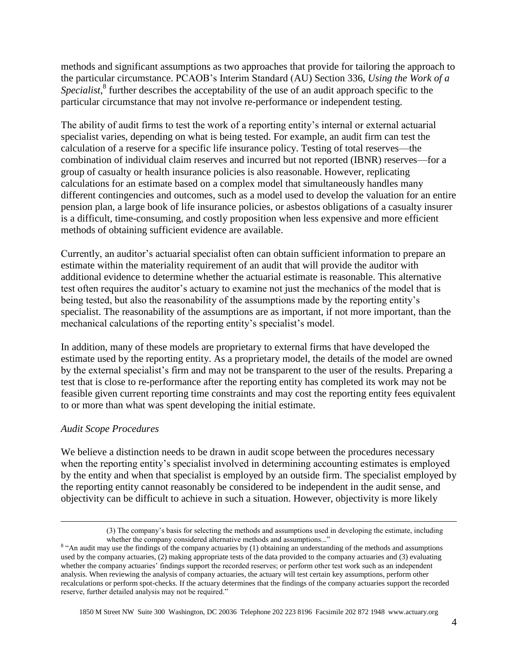methods and significant assumptions as two approaches that provide for tailoring the approach to the particular circumstance. PCAOB's Interim Standard (AU) Section 336, *Using the Work of a*  Specialist,<sup>8</sup> further describes the acceptability of the use of an audit approach specific to the particular circumstance that may not involve re-performance or independent testing.

The ability of audit firms to test the work of a reporting entity's internal or external actuarial specialist varies, depending on what is being tested. For example, an audit firm can test the calculation of a reserve for a specific life insurance policy. Testing of total reserves—the combination of individual claim reserves and incurred but not reported (IBNR) reserves—for a group of casualty or health insurance policies is also reasonable. However, replicating calculations for an estimate based on a complex model that simultaneously handles many different contingencies and outcomes, such as a model used to develop the valuation for an entire pension plan, a large book of life insurance policies, or asbestos obligations of a casualty insurer is a difficult, time-consuming, and costly proposition when less expensive and more efficient methods of obtaining sufficient evidence are available.

Currently, an auditor's actuarial specialist often can obtain sufficient information to prepare an estimate within the materiality requirement of an audit that will provide the auditor with additional evidence to determine whether the actuarial estimate is reasonable. This alternative test often requires the auditor's actuary to examine not just the mechanics of the model that is being tested, but also the reasonability of the assumptions made by the reporting entity's specialist. The reasonability of the assumptions are as important, if not more important, than the mechanical calculations of the reporting entity's specialist's model.

In addition, many of these models are proprietary to external firms that have developed the estimate used by the reporting entity. As a proprietary model, the details of the model are owned by the external specialist's firm and may not be transparent to the user of the results. Preparing a test that is close to re-performance after the reporting entity has completed its work may not be feasible given current reporting time constraints and may cost the reporting entity fees equivalent to or more than what was spent developing the initial estimate.

#### *Audit Scope Procedures*

 $\overline{a}$ 

We believe a distinction needs to be drawn in audit scope between the procedures necessary when the reporting entity's specialist involved in determining accounting estimates is employed by the entity and when that specialist is employed by an outside firm. The specialist employed by the reporting entity cannot reasonably be considered to be independent in the audit sense, and objectivity can be difficult to achieve in such a situation. However, objectivity is more likely

<sup>(3)</sup> The company's basis for selecting the methods and assumptions used in developing the estimate, including whether the company considered alternative methods and assumptions..."

<sup>&</sup>lt;sup>8</sup> "An audit may use the findings of the company actuaries by (1) obtaining an understanding of the methods and assumptions used by the company actuaries, (2) making appropriate tests of the data provided to the company actuaries and (3) evaluating whether the company actuaries' findings support the recorded reserves; or perform other test work such as an independent analysis. When reviewing the analysis of company actuaries, the actuary will test certain key assumptions, perform other recalculations or perform spot-checks. If the actuary determines that the findings of the company actuaries support the recorded reserve, further detailed analysis may not be required."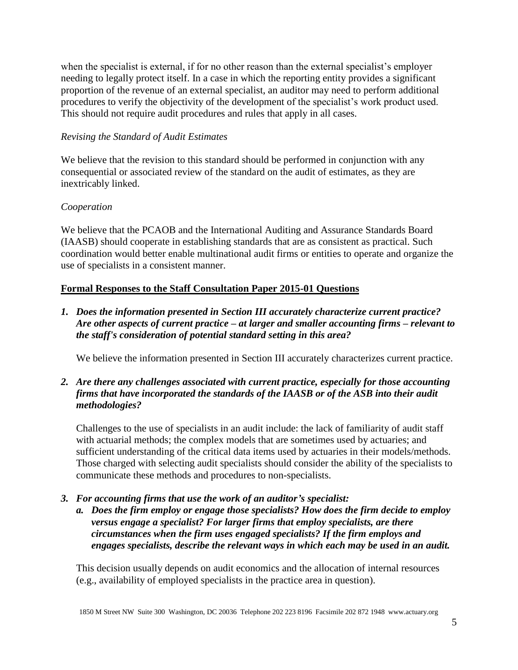when the specialist is external, if for no other reason than the external specialist's employer needing to legally protect itself. In a case in which the reporting entity provides a significant proportion of the revenue of an external specialist, an auditor may need to perform additional procedures to verify the objectivity of the development of the specialist's work product used. This should not require audit procedures and rules that apply in all cases.

## *Revising the Standard of Audit Estimates*

We believe that the revision to this standard should be performed in conjunction with any consequential or associated review of the standard on the audit of estimates, as they are inextricably linked.

## *Cooperation*

We believe that the PCAOB and the International Auditing and Assurance Standards Board (IAASB) should cooperate in establishing standards that are as consistent as practical. Such coordination would better enable multinational audit firms or entities to operate and organize the use of specialists in a consistent manner.

# **Formal Responses to the Staff Consultation Paper 2015-01 Questions**

*1. Does the information presented in Section III accurately characterize current practice? Are other aspects of current practice – at larger and smaller accounting firms – relevant to the staff's consideration of potential standard setting in this area?*

We believe the information presented in Section III accurately characterizes current practice.

## *2. Are there any challenges associated with current practice, especially for those accounting firms that have incorporated the standards of the IAASB or of the ASB into their audit methodologies?*

Challenges to the use of specialists in an audit include: the lack of familiarity of audit staff with actuarial methods; the complex models that are sometimes used by actuaries; and sufficient understanding of the critical data items used by actuaries in their models/methods. Those charged with selecting audit specialists should consider the ability of the specialists to communicate these methods and procedures to non-specialists.

- *3. For accounting firms that use the work of an auditor's specialist:*
	- *a. Does the firm employ or engage those specialists? How does the firm decide to employ versus engage a specialist? For larger firms that employ specialists, are there circumstances when the firm uses engaged specialists? If the firm employs and engages specialists, describe the relevant ways in which each may be used in an audit.*

This decision usually depends on audit economics and the allocation of internal resources (e.g., availability of employed specialists in the practice area in question).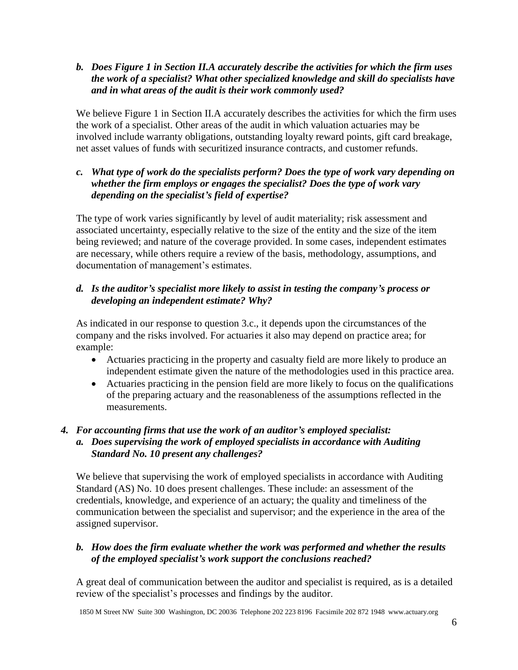## *b. Does Figure 1 in Section II.A accurately describe the activities for which the firm uses the work of a specialist? What other specialized knowledge and skill do specialists have and in what areas of the audit is their work commonly used?*

We believe Figure 1 in Section II.A accurately describes the activities for which the firm uses the work of a specialist. Other areas of the audit in which valuation actuaries may be involved include warranty obligations, outstanding loyalty reward points, gift card breakage, net asset values of funds with securitized insurance contracts, and customer refunds.

## *c. What type of work do the specialists perform? Does the type of work vary depending on whether the firm employs or engages the specialist? Does the type of work vary depending on the specialist's field of expertise?*

The type of work varies significantly by level of audit materiality; risk assessment and associated uncertainty, especially relative to the size of the entity and the size of the item being reviewed; and nature of the coverage provided. In some cases, independent estimates are necessary, while others require a review of the basis, methodology, assumptions, and documentation of management's estimates.

# *d. Is the auditor's specialist more likely to assist in testing the company's process or developing an independent estimate? Why?*

As indicated in our response to question 3.c., it depends upon the circumstances of the company and the risks involved. For actuaries it also may depend on practice area; for example:

- Actuaries practicing in the property and casualty field are more likely to produce an independent estimate given the nature of the methodologies used in this practice area.
- Actuaries practicing in the pension field are more likely to focus on the qualifications of the preparing actuary and the reasonableness of the assumptions reflected in the measurements.

# *4. For accounting firms that use the work of an auditor's employed specialist:*

*a. Does supervising the work of employed specialists in accordance with Auditing Standard No. 10 present any challenges?*

We believe that supervising the work of employed specialists in accordance with Auditing Standard (AS) No. 10 does present challenges. These include: an assessment of the credentials, knowledge, and experience of an actuary; the quality and timeliness of the communication between the specialist and supervisor; and the experience in the area of the assigned supervisor.

# *b. How does the firm evaluate whether the work was performed and whether the results of the employed specialist's work support the conclusions reached?*

A great deal of communication between the auditor and specialist is required, as is a detailed review of the specialist's processes and findings by the auditor.

1850 M Street NW Suite 300 Washington, DC 20036 Telephone 202 223 8196 Facsimile 202 872 1948 www.actuary.org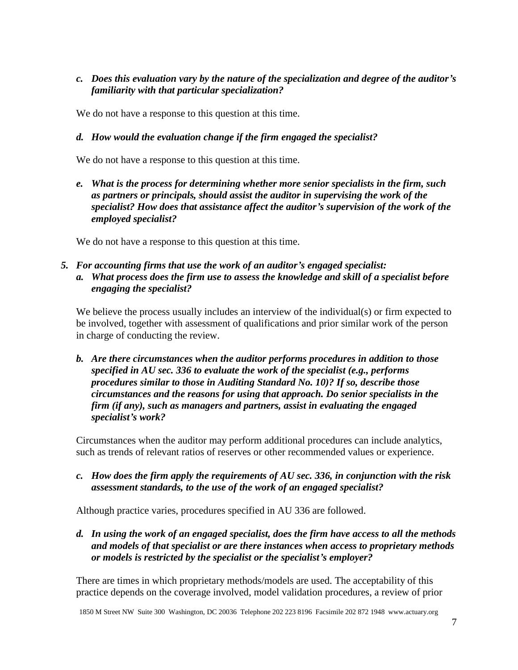## *c. Does this evaluation vary by the nature of the specialization and degree of the auditor's familiarity with that particular specialization?*

We do not have a response to this question at this time.

## *d. How would the evaluation change if the firm engaged the specialist?*

We do not have a response to this question at this time.

*e. What is the process for determining whether more senior specialists in the firm, such as partners or principals, should assist the auditor in supervising the work of the specialist? How does that assistance affect the auditor's supervision of the work of the employed specialist?*

We do not have a response to this question at this time.

*5. For accounting firms that use the work of an auditor's engaged specialist: a. What process does the firm use to assess the knowledge and skill of a specialist before engaging the specialist?*

We believe the process usually includes an interview of the individual(s) or firm expected to be involved, together with assessment of qualifications and prior similar work of the person in charge of conducting the review.

*b. Are there circumstances when the auditor performs procedures in addition to those specified in AU sec. 336 to evaluate the work of the specialist (e.g., performs procedures similar to those in Auditing Standard No. 10)? If so, describe those circumstances and the reasons for using that approach. Do senior specialists in the firm (if any), such as managers and partners, assist in evaluating the engaged specialist's work?*

Circumstances when the auditor may perform additional procedures can include analytics, such as trends of relevant ratios of reserves or other recommended values or experience.

*c. How does the firm apply the requirements of AU sec. 336, in conjunction with the risk assessment standards, to the use of the work of an engaged specialist?*

Although practice varies, procedures specified in AU 336 are followed.

*d. In using the work of an engaged specialist, does the firm have access to all the methods and models of that specialist or are there instances when access to proprietary methods or models is restricted by the specialist or the specialist's employer?*

There are times in which proprietary methods/models are used. The acceptability of this practice depends on the coverage involved, model validation procedures, a review of prior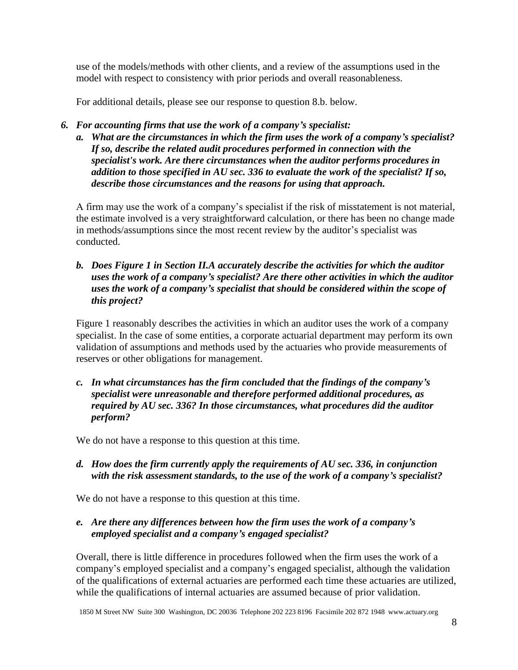use of the models/methods with other clients, and a review of the assumptions used in the model with respect to consistency with prior periods and overall reasonableness.

For additional details, please see our response to question 8.b. below.

- *6. For accounting firms that use the work of a company's specialist:*
	- *a. What are the circumstances in which the firm uses the work of a company's specialist? If so, describe the related audit procedures performed in connection with the specialist's work. Are there circumstances when the auditor performs procedures in addition to those specified in AU sec. 336 to evaluate the work of the specialist? If so, describe those circumstances and the reasons for using that approach.*

A firm may use the work of a company's specialist if the risk of misstatement is not material, the estimate involved is a very straightforward calculation, or there has been no change made in methods/assumptions since the most recent review by the auditor's specialist was conducted.

*b. Does Figure 1 in Section II.A accurately describe the activities for which the auditor uses the work of a company's specialist? Are there other activities in which the auditor uses the work of a company's specialist that should be considered within the scope of this project?*

Figure 1 reasonably describes the activities in which an auditor uses the work of a company specialist. In the case of some entities, a corporate actuarial department may perform its own validation of assumptions and methods used by the actuaries who provide measurements of reserves or other obligations for management.

*c. In what circumstances has the firm concluded that the findings of the company's specialist were unreasonable and therefore performed additional procedures, as required by AU sec. 336? In those circumstances, what procedures did the auditor perform?*

We do not have a response to this question at this time.

*d. How does the firm currently apply the requirements of AU sec. 336, in conjunction with the risk assessment standards, to the use of the work of a company's specialist?*

We do not have a response to this question at this time.

## *e. Are there any differences between how the firm uses the work of a company's employed specialist and a company's engaged specialist?*

Overall, there is little difference in procedures followed when the firm uses the work of a company's employed specialist and a company's engaged specialist, although the validation of the qualifications of external actuaries are performed each time these actuaries are utilized, while the qualifications of internal actuaries are assumed because of prior validation.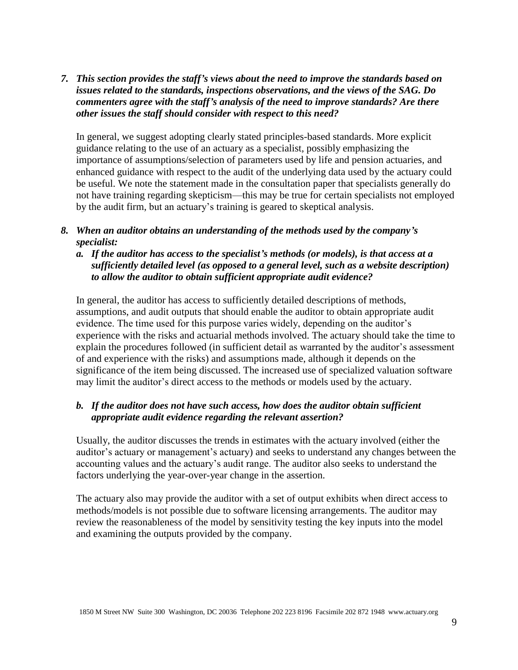## *7. This section provides the staff's views about the need to improve the standards based on issues related to the standards, inspections observations, and the views of the SAG. Do commenters agree with the staff's analysis of the need to improve standards? Are there other issues the staff should consider with respect to this need?*

In general, we suggest adopting clearly stated principles-based standards. More explicit guidance relating to the use of an actuary as a specialist, possibly emphasizing the importance of assumptions/selection of parameters used by life and pension actuaries, and enhanced guidance with respect to the audit of the underlying data used by the actuary could be useful. We note the statement made in the consultation paper that specialists generally do not have training regarding skepticism—this may be true for certain specialists not employed by the audit firm, but an actuary's training is geared to skeptical analysis.

## *8. When an auditor obtains an understanding of the methods used by the company's specialist:*

*a. If the auditor has access to the specialist's methods (or models), is that access at a sufficiently detailed level (as opposed to a general level, such as a website description) to allow the auditor to obtain sufficient appropriate audit evidence?*

In general, the auditor has access to sufficiently detailed descriptions of methods, assumptions, and audit outputs that should enable the auditor to obtain appropriate audit evidence. The time used for this purpose varies widely, depending on the auditor's experience with the risks and actuarial methods involved. The actuary should take the time to explain the procedures followed (in sufficient detail as warranted by the auditor's assessment of and experience with the risks) and assumptions made, although it depends on the significance of the item being discussed. The increased use of specialized valuation software may limit the auditor's direct access to the methods or models used by the actuary.

## *b. If the auditor does not have such access, how does the auditor obtain sufficient appropriate audit evidence regarding the relevant assertion?*

Usually, the auditor discusses the trends in estimates with the actuary involved (either the auditor's actuary or management's actuary) and seeks to understand any changes between the accounting values and the actuary's audit range. The auditor also seeks to understand the factors underlying the year-over-year change in the assertion.

The actuary also may provide the auditor with a set of output exhibits when direct access to methods/models is not possible due to software licensing arrangements. The auditor may review the reasonableness of the model by sensitivity testing the key inputs into the model and examining the outputs provided by the company.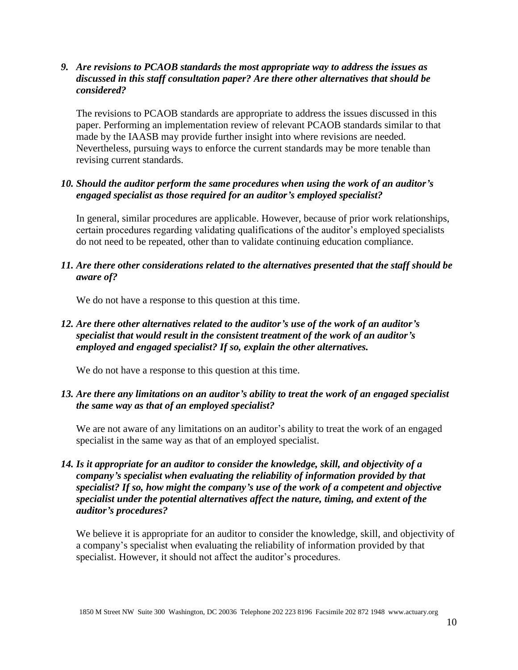#### *9. Are revisions to PCAOB standards the most appropriate way to address the issues as discussed in this staff consultation paper? Are there other alternatives that should be considered?*

The revisions to PCAOB standards are appropriate to address the issues discussed in this paper. Performing an implementation review of relevant PCAOB standards similar to that made by the IAASB may provide further insight into where revisions are needed. Nevertheless, pursuing ways to enforce the current standards may be more tenable than revising current standards.

#### *10. Should the auditor perform the same procedures when using the work of an auditor's engaged specialist as those required for an auditor's employed specialist?*

In general, similar procedures are applicable. However, because of prior work relationships, certain procedures regarding validating qualifications of the auditor's employed specialists do not need to be repeated, other than to validate continuing education compliance.

#### *11. Are there other considerations related to the alternatives presented that the staff should be aware of?*

We do not have a response to this question at this time.

## *12. Are there other alternatives related to the auditor's use of the work of an auditor's specialist that would result in the consistent treatment of the work of an auditor's employed and engaged specialist? If so, explain the other alternatives.*

We do not have a response to this question at this time.

### *13. Are there any limitations on an auditor's ability to treat the work of an engaged specialist the same way as that of an employed specialist?*

We are not aware of any limitations on an auditor's ability to treat the work of an engaged specialist in the same way as that of an employed specialist.

*14. Is it appropriate for an auditor to consider the knowledge, skill, and objectivity of a company's specialist when evaluating the reliability of information provided by that specialist? If so, how might the company's use of the work of a competent and objective specialist under the potential alternatives affect the nature, timing, and extent of the auditor's procedures?*

We believe it is appropriate for an auditor to consider the knowledge, skill, and objectivity of a company's specialist when evaluating the reliability of information provided by that specialist. However, it should not affect the auditor's procedures.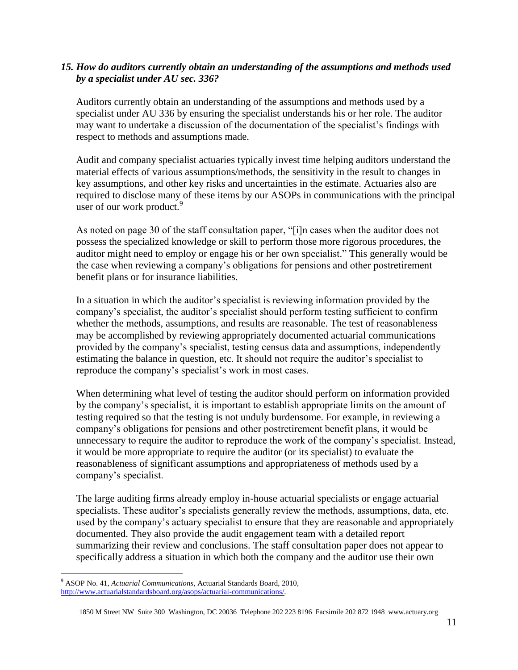#### *15. How do auditors currently obtain an understanding of the assumptions and methods used by a specialist under AU sec. 336?*

Auditors currently obtain an understanding of the assumptions and methods used by a specialist under AU 336 by ensuring the specialist understands his or her role. The auditor may want to undertake a discussion of the documentation of the specialist's findings with respect to methods and assumptions made.

Audit and company specialist actuaries typically invest time helping auditors understand the material effects of various assumptions/methods, the sensitivity in the result to changes in key assumptions, and other key risks and uncertainties in the estimate. Actuaries also are required to disclose many of these items by our ASOPs in communications with the principal user of our work product.<sup>9</sup>

As noted on page 30 of the staff consultation paper, "[i]n cases when the auditor does not possess the specialized knowledge or skill to perform those more rigorous procedures, the auditor might need to employ or engage his or her own specialist." This generally would be the case when reviewing a company's obligations for pensions and other postretirement benefit plans or for insurance liabilities.

In a situation in which the auditor's specialist is reviewing information provided by the company's specialist, the auditor's specialist should perform testing sufficient to confirm whether the methods, assumptions, and results are reasonable. The test of reasonableness may be accomplished by reviewing appropriately documented actuarial communications provided by the company's specialist, testing census data and assumptions, independently estimating the balance in question, etc. It should not require the auditor's specialist to reproduce the company's specialist's work in most cases.

When determining what level of testing the auditor should perform on information provided by the company's specialist, it is important to establish appropriate limits on the amount of testing required so that the testing is not unduly burdensome. For example, in reviewing a company's obligations for pensions and other postretirement benefit plans, it would be unnecessary to require the auditor to reproduce the work of the company's specialist. Instead, it would be more appropriate to require the auditor (or its specialist) to evaluate the reasonableness of significant assumptions and appropriateness of methods used by a company's specialist.

The large auditing firms already employ in-house actuarial specialists or engage actuarial specialists. These auditor's specialists generally review the methods, assumptions, data, etc. used by the company's actuary specialist to ensure that they are reasonable and appropriately documented. They also provide the audit engagement team with a detailed report summarizing their review and conclusions. The staff consultation paper does not appear to specifically address a situation in which both the company and the auditor use their own

 $\overline{a}$ 

<sup>9</sup> ASOP No. 41, *Actuarial Communications*, Actuarial Standards Board, 2010, [http://www.actuarialstandardsboard.org/asops/actuarial-communications/.](http://www.actuarialstandardsboard.org/asops/actuarial-communications/)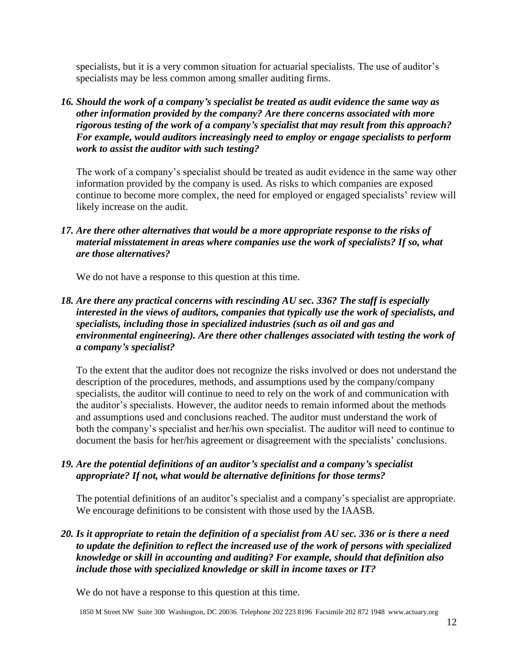specialists, but it is a very common situation for actuarial specialists. The use of auditor's specialists may be less common among smaller auditing firms.

*16. Should the work of a company's specialist be treated as audit evidence the same way as other information provided by the company? Are there concerns associated with more rigorous testing of the work of a company's specialist that may result from this approach? For example, would auditors increasingly need to employ or engage specialists to perform work to assist the auditor with such testing?*

The work of a company's specialist should be treated as audit evidence in the same way other information provided by the company is used. As risks to which companies are exposed continue to become more complex, the need for employed or engaged specialists' review will likely increase on the audit.

## *17. Are there other alternatives that would be a more appropriate response to the risks of material misstatement in areas where companies use the work of specialists? If so, what are those alternatives?*

We do not have a response to this question at this time.

## *18. Are there any practical concerns with rescinding AU sec. 336? The staff is especially interested in the views of auditors, companies that typically use the work of specialists, and specialists, including those in specialized industries (such as oil and gas and environmental engineering). Are there other challenges associated with testing the work of a company's specialist?*

To the extent that the auditor does not recognize the risks involved or does not understand the description of the procedures, methods, and assumptions used by the company/company specialists, the auditor will continue to need to rely on the work of and communication with the auditor's specialists. However, the auditor needs to remain informed about the methods and assumptions used and conclusions reached. The auditor must understand the work of both the company's specialist and her/his own specialist. The auditor will need to continue to document the basis for her/his agreement or disagreement with the specialists' conclusions.

## *19. Are the potential definitions of an auditor's specialist and a company's specialist appropriate? If not, what would be alternative definitions for those terms?*

The potential definitions of an auditor's specialist and a company's specialist are appropriate. We encourage definitions to be consistent with those used by the IAASB.

*20. Is it appropriate to retain the definition of a specialist from AU sec. 336 or is there a need to update the definition to reflect the increased use of the work of persons with specialized knowledge or skill in accounting and auditing? For example, should that definition also include those with specialized knowledge or skill in income taxes or IT?*

We do not have a response to this question at this time.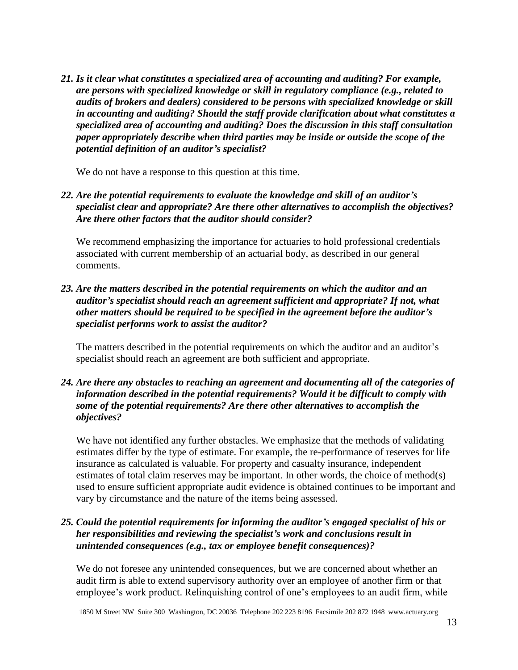*21. Is it clear what constitutes a specialized area of accounting and auditing? For example, are persons with specialized knowledge or skill in regulatory compliance (e.g., related to audits of brokers and dealers) considered to be persons with specialized knowledge or skill in accounting and auditing? Should the staff provide clarification about what constitutes a specialized area of accounting and auditing? Does the discussion in this staff consultation paper appropriately describe when third parties may be inside or outside the scope of the potential definition of an auditor's specialist?*

We do not have a response to this question at this time.

*22. Are the potential requirements to evaluate the knowledge and skill of an auditor's specialist clear and appropriate? Are there other alternatives to accomplish the objectives? Are there other factors that the auditor should consider?*

We recommend emphasizing the importance for actuaries to hold professional credentials associated with current membership of an actuarial body, as described in our general comments.

*23. Are the matters described in the potential requirements on which the auditor and an auditor's specialist should reach an agreement sufficient and appropriate? If not, what other matters should be required to be specified in the agreement before the auditor's specialist performs work to assist the auditor?*

The matters described in the potential requirements on which the auditor and an auditor's specialist should reach an agreement are both sufficient and appropriate.

## *24. Are there any obstacles to reaching an agreement and documenting all of the categories of information described in the potential requirements? Would it be difficult to comply with some of the potential requirements? Are there other alternatives to accomplish the objectives?*

We have not identified any further obstacles. We emphasize that the methods of validating estimates differ by the type of estimate. For example, the re-performance of reserves for life insurance as calculated is valuable. For property and casualty insurance, independent estimates of total claim reserves may be important. In other words, the choice of method(s) used to ensure sufficient appropriate audit evidence is obtained continues to be important and vary by circumstance and the nature of the items being assessed.

## *25. Could the potential requirements for informing the auditor's engaged specialist of his or her responsibilities and reviewing the specialist's work and conclusions result in unintended consequences (e.g., tax or employee benefit consequences)?*

We do not foresee any unintended consequences, but we are concerned about whether an audit firm is able to extend supervisory authority over an employee of another firm or that employee's work product. Relinquishing control of one's employees to an audit firm, while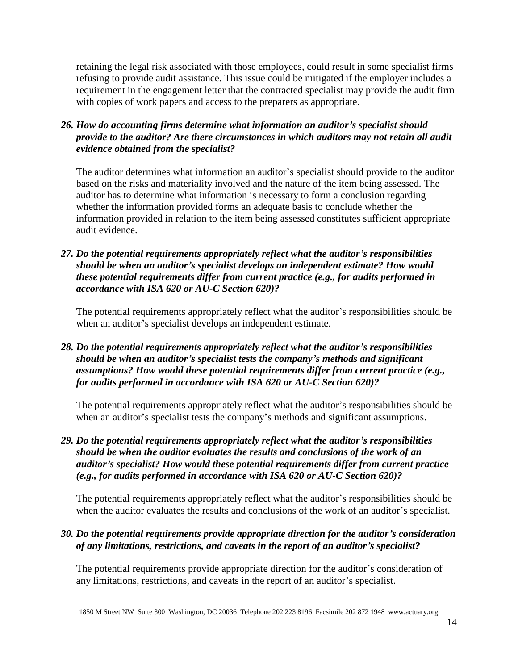retaining the legal risk associated with those employees, could result in some specialist firms refusing to provide audit assistance. This issue could be mitigated if the employer includes a requirement in the engagement letter that the contracted specialist may provide the audit firm with copies of work papers and access to the preparers as appropriate.

*26. How do accounting firms determine what information an auditor's specialist should provide to the auditor? Are there circumstances in which auditors may not retain all audit evidence obtained from the specialist?*

The auditor determines what information an auditor's specialist should provide to the auditor based on the risks and materiality involved and the nature of the item being assessed. The auditor has to determine what information is necessary to form a conclusion regarding whether the information provided forms an adequate basis to conclude whether the information provided in relation to the item being assessed constitutes sufficient appropriate audit evidence.

*27. Do the potential requirements appropriately reflect what the auditor's responsibilities should be when an auditor's specialist develops an independent estimate? How would these potential requirements differ from current practice (e.g., for audits performed in accordance with ISA 620 or AU-C Section 620)?*

The potential requirements appropriately reflect what the auditor's responsibilities should be when an auditor's specialist develops an independent estimate.

*28. Do the potential requirements appropriately reflect what the auditor's responsibilities should be when an auditor's specialist tests the company's methods and significant assumptions? How would these potential requirements differ from current practice (e.g., for audits performed in accordance with ISA 620 or AU-C Section 620)?*

The potential requirements appropriately reflect what the auditor's responsibilities should be when an auditor's specialist tests the company's methods and significant assumptions.

*29. Do the potential requirements appropriately reflect what the auditor's responsibilities should be when the auditor evaluates the results and conclusions of the work of an auditor's specialist? How would these potential requirements differ from current practice (e.g., for audits performed in accordance with ISA 620 or AU-C Section 620)?*

The potential requirements appropriately reflect what the auditor's responsibilities should be when the auditor evaluates the results and conclusions of the work of an auditor's specialist.

### *30. Do the potential requirements provide appropriate direction for the auditor's consideration of any limitations, restrictions, and caveats in the report of an auditor's specialist?*

The potential requirements provide appropriate direction for the auditor's consideration of any limitations, restrictions, and caveats in the report of an auditor's specialist.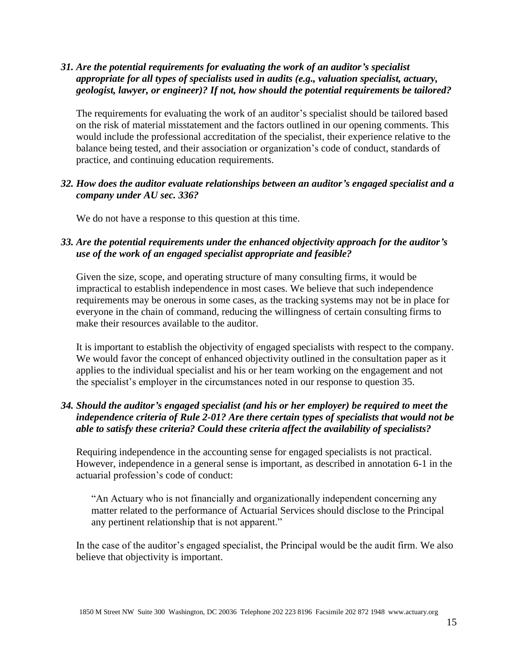### *31. Are the potential requirements for evaluating the work of an auditor's specialist appropriate for all types of specialists used in audits (e.g., valuation specialist, actuary, geologist, lawyer, or engineer)? If not, how should the potential requirements be tailored?*

The requirements for evaluating the work of an auditor's specialist should be tailored based on the risk of material misstatement and the factors outlined in our opening comments. This would include the professional accreditation of the specialist, their experience relative to the balance being tested, and their association or organization's code of conduct, standards of practice, and continuing education requirements.

#### *32. How does the auditor evaluate relationships between an auditor's engaged specialist and a company under AU sec. 336?*

We do not have a response to this question at this time.

### *33. Are the potential requirements under the enhanced objectivity approach for the auditor's use of the work of an engaged specialist appropriate and feasible?*

Given the size, scope, and operating structure of many consulting firms, it would be impractical to establish independence in most cases. We believe that such independence requirements may be onerous in some cases, as the tracking systems may not be in place for everyone in the chain of command, reducing the willingness of certain consulting firms to make their resources available to the auditor.

It is important to establish the objectivity of engaged specialists with respect to the company. We would favor the concept of enhanced objectivity outlined in the consultation paper as it applies to the individual specialist and his or her team working on the engagement and not the specialist's employer in the circumstances noted in our response to question 35.

## *34. Should the auditor's engaged specialist (and his or her employer) be required to meet the independence criteria of Rule 2-01? Are there certain types of specialists that would not be able to satisfy these criteria? Could these criteria affect the availability of specialists?*

Requiring independence in the accounting sense for engaged specialists is not practical. However, independence in a general sense is important, as described in annotation 6-1 in the actuarial profession's code of conduct:

"An Actuary who is not financially and organizationally independent concerning any matter related to the performance of Actuarial Services should disclose to the Principal any pertinent relationship that is not apparent."

In the case of the auditor's engaged specialist, the Principal would be the audit firm. We also believe that objectivity is important.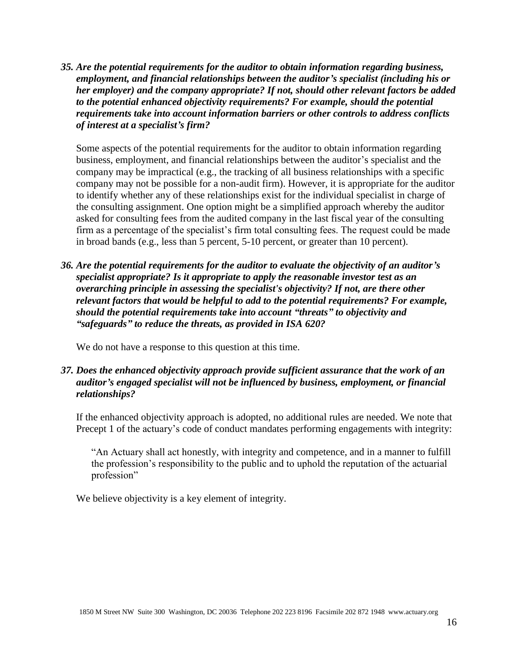*35. Are the potential requirements for the auditor to obtain information regarding business, employment, and financial relationships between the auditor's specialist (including his or her employer) and the company appropriate? If not, should other relevant factors be added to the potential enhanced objectivity requirements? For example, should the potential requirements take into account information barriers or other controls to address conflicts of interest at a specialist's firm?*

Some aspects of the potential requirements for the auditor to obtain information regarding business, employment, and financial relationships between the auditor's specialist and the company may be impractical (e.g., the tracking of all business relationships with a specific company may not be possible for a non-audit firm). However, it is appropriate for the auditor to identify whether any of these relationships exist for the individual specialist in charge of the consulting assignment. One option might be a simplified approach whereby the auditor asked for consulting fees from the audited company in the last fiscal year of the consulting firm as a percentage of the specialist's firm total consulting fees. The request could be made in broad bands (e.g., less than 5 percent, 5-10 percent, or greater than 10 percent).

*36. Are the potential requirements for the auditor to evaluate the objectivity of an auditor's specialist appropriate? Is it appropriate to apply the reasonable investor test as an overarching principle in assessing the specialist's objectivity? If not, are there other relevant factors that would be helpful to add to the potential requirements? For example, should the potential requirements take into account "threats" to objectivity and "safeguards" to reduce the threats, as provided in ISA 620?*

We do not have a response to this question at this time.

#### *37. Does the enhanced objectivity approach provide sufficient assurance that the work of an auditor's engaged specialist will not be influenced by business, employment, or financial relationships?*

If the enhanced objectivity approach is adopted, no additional rules are needed. We note that Precept 1 of the actuary's code of conduct mandates performing engagements with integrity:

"An Actuary shall act honestly, with integrity and competence, and in a manner to fulfill the profession's responsibility to the public and to uphold the reputation of the actuarial profession"

We believe objectivity is a key element of integrity.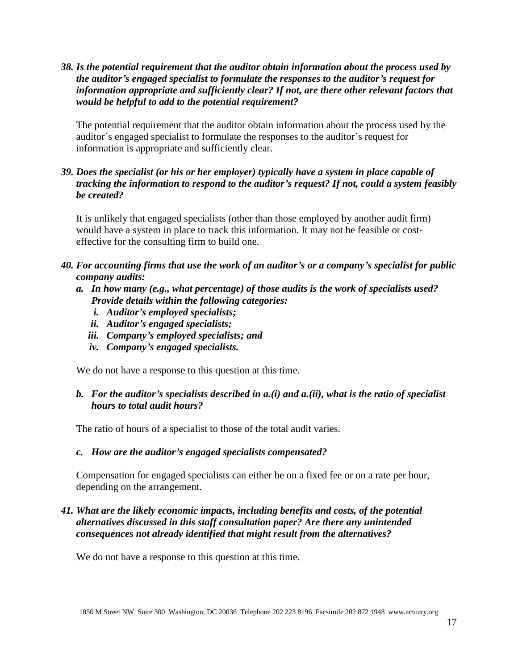*38. Is the potential requirement that the auditor obtain information about the process used by the auditor's engaged specialist to formulate the responses to the auditor's request for information appropriate and sufficiently clear? If not, are there other relevant factors that would be helpful to add to the potential requirement?*

The potential requirement that the auditor obtain information about the process used by the auditor's engaged specialist to formulate the responses to the auditor's request for information is appropriate and sufficiently clear.

## *39. Does the specialist (or his or her employer) typically have a system in place capable of tracking the information to respond to the auditor's request? If not, could a system feasibly be created?*

It is unlikely that engaged specialists (other than those employed by another audit firm) would have a system in place to track this information. It may not be feasible or costeffective for the consulting firm to build one.

- *40. For accounting firms that use the work of an auditor's or a company's specialist for public company audits:*
	- *a. In how many (e.g., what percentage) of those audits is the work of specialists used? Provide details within the following categories:*
		- *i. Auditor's employed specialists;*
		- *ii. Auditor's engaged specialists;*
		- *iii. Company's employed specialists; and*
		- *iv. Company's engaged specialists.*

We do not have a response to this question at this time.

### *b. For the auditor's specialists described in a.(i) and a.(ii), what is the ratio of specialist hours to total audit hours?*

The ratio of hours of a specialist to those of the total audit varies.

#### *c. How are the auditor's engaged specialists compensated?*

Compensation for engaged specialists can either be on a fixed fee or on a rate per hour, depending on the arrangement.

## *41. What are the likely economic impacts, including benefits and costs, of the potential alternatives discussed in this staff consultation paper? Are there any unintended consequences not already identified that might result from the alternatives?*

We do not have a response to this question at this time.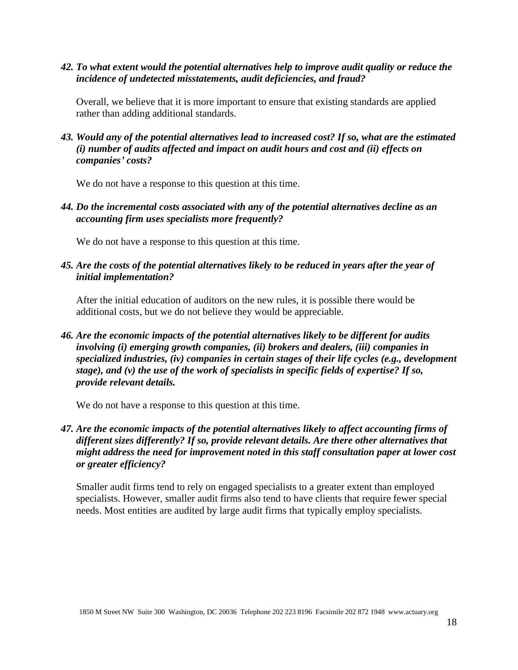*42. To what extent would the potential alternatives help to improve audit quality or reduce the incidence of undetected misstatements, audit deficiencies, and fraud?*

Overall, we believe that it is more important to ensure that existing standards are applied rather than adding additional standards.

*43. Would any of the potential alternatives lead to increased cost? If so, what are the estimated (i) number of audits affected and impact on audit hours and cost and (ii) effects on companies' costs?*

We do not have a response to this question at this time.

*44. Do the incremental costs associated with any of the potential alternatives decline as an accounting firm uses specialists more frequently?*

We do not have a response to this question at this time.

*45. Are the costs of the potential alternatives likely to be reduced in years after the year of initial implementation?*

After the initial education of auditors on the new rules, it is possible there would be additional costs, but we do not believe they would be appreciable.

*46. Are the economic impacts of the potential alternatives likely to be different for audits involving (i) emerging growth companies, (ii) brokers and dealers, (iii) companies in specialized industries, (iv) companies in certain stages of their life cycles (e.g., development stage), and (v) the use of the work of specialists in specific fields of expertise? If so, provide relevant details.*

We do not have a response to this question at this time.

*47. Are the economic impacts of the potential alternatives likely to affect accounting firms of different sizes differently? If so, provide relevant details. Are there other alternatives that might address the need for improvement noted in this staff consultation paper at lower cost or greater efficiency?*

Smaller audit firms tend to rely on engaged specialists to a greater extent than employed specialists. However, smaller audit firms also tend to have clients that require fewer special needs. Most entities are audited by large audit firms that typically employ specialists.